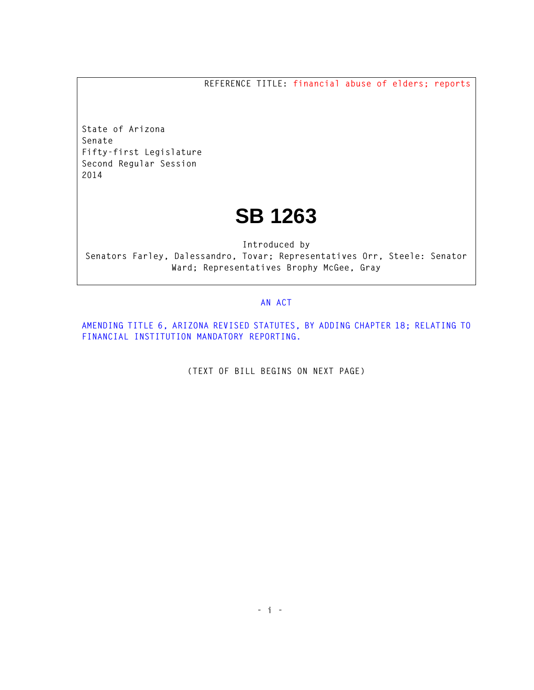**REFERENCE TITLE: financial abuse of elders; reports**

**State of Arizona Senate Fifty-first Legislature Second Regular Session 2014** 

## **SB 1263**

**Introduced by Senators Farley, Dalessandro, Tovar; Representatives Orr, Steele: Senator Ward; Representatives Brophy McGee, Gray** 

## **AN ACT**

**AMENDING TITLE 6, ARIZONA REVISED STATUTES, BY ADDING CHAPTER 18; RELATING TO FINANCIAL INSTITUTION MANDATORY REPORTING.** 

**(TEXT OF BILL BEGINS ON NEXT PAGE)**